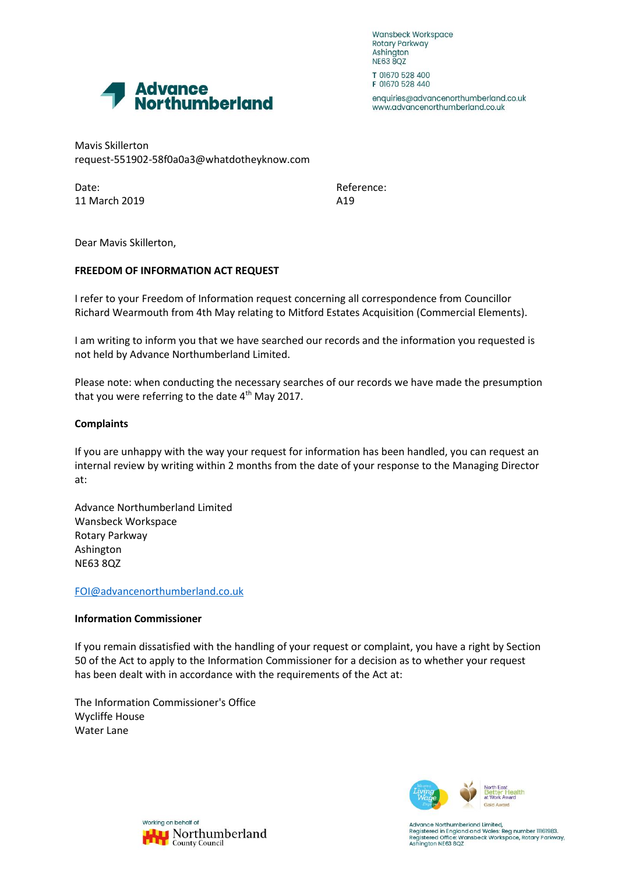Wansbeck Workspace Rotary Parkway Ashington **NE63 8QZ** 



enquiries@advancenorthumberland.co.uk www.advancenorthumberland.co.uk

Advance<br>Northumberland

Mavis Skillerton request-551902-58f0a0a3@whatdotheyknow.com

Date: Reference: 11 March 2019 **A19** 

Dear Mavis Skillerton,

## **FREEDOM OF INFORMATION ACT REQUEST**

I refer to your Freedom of Information request concerning all correspondence from Councillor Richard Wearmouth from 4th May relating to Mitford Estates Acquisition (Commercial Elements).

I am writing to inform you that we have searched our records and the information you requested is not held by Advance Northumberland Limited.

Please note: when conducting the necessary searches of our records we have made the presumption that you were referring to the date  $4<sup>th</sup>$  May 2017.

## **Complaints**

If you are unhappy with the way your request for information has been handled, you can request an internal review by writing within 2 months from the date of your response to the Managing Director at:

Advance Northumberland Limited Wansbeck Workspace Rotary Parkway Ashington NE63 8QZ

[FOI@advancenorthumberland.co.uk](mailto:xxx@xxxxxxxxxxxxxxxxxxxxx.xx.xx)

## **Information Commissioner**

If you remain dissatisfied with the handling of your request or complaint, you have a right by Section 50 of the Act to apply to the Information Commissioner for a decision as to whether your request has been dealt with in accordance with the requirements of the Act at:

The Information Commissioner's Office Wycliffe House Water Lane





Advance Northumberland Limited, Registered in England and Wales: Reg number 11161983.<br>Registered in England and Wales: Reg number 11161983.<br>Registered Office: Wansbeck Workspace, Rotary Parkway, Ashington NE63 8QZ